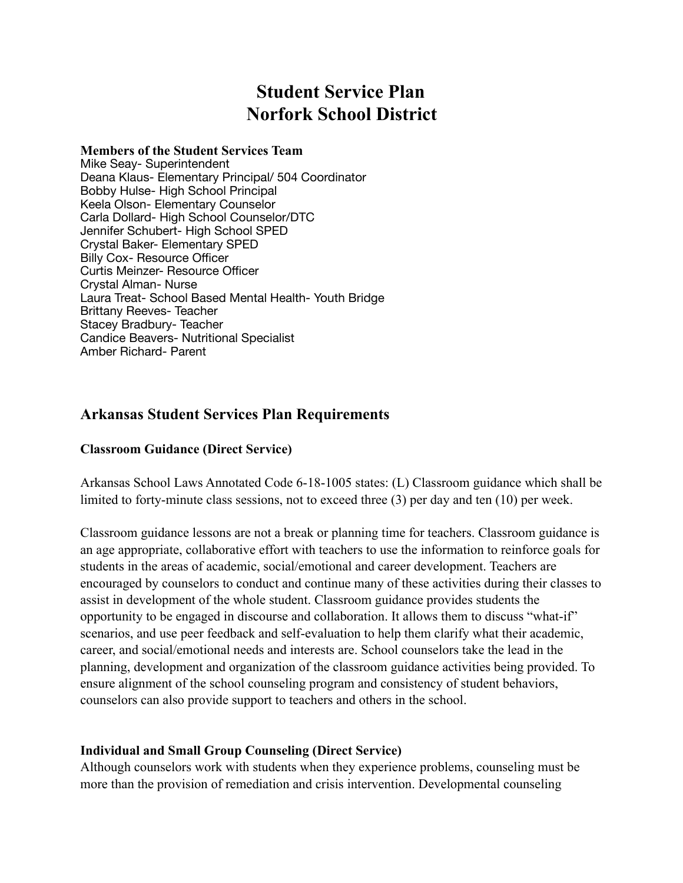# **Student Service Plan Norfork School District**

#### **Members of the Student Services Team**

Mike Seay- Superintendent Deana Klaus- Elementary Principal/ 504 Coordinator Bobby Hulse- High School Principal Keela Olson- Elementary Counselor Carla Dollard- High School Counselor/DTC Jennifer Schubert- High School SPED Crystal Baker- Elementary SPED Billy Cox- Resource Officer Curtis Meinzer- Resource Officer Crystal Alman- Nurse Laura Treat- School Based Mental Health- Youth Bridge Brittany Reeves- Teacher Stacey Bradbury- Teacher Candice Beavers- Nutritional Specialist Amber Richard- Parent

# **Arkansas Student Services Plan Requirements**

#### **Classroom Guidance (Direct Service)**

Arkansas School Laws Annotated Code 6-18-1005 states: (L) Classroom guidance which shall be limited to forty-minute class sessions, not to exceed three (3) per day and ten (10) per week.

Classroom guidance lessons are not a break or planning time for teachers. Classroom guidance is an age appropriate, collaborative effort with teachers to use the information to reinforce goals for students in the areas of academic, social/emotional and career development. Teachers are encouraged by counselors to conduct and continue many of these activities during their classes to assist in development of the whole student. Classroom guidance provides students the opportunity to be engaged in discourse and collaboration. It allows them to discuss "what-if" scenarios, and use peer feedback and self-evaluation to help them clarify what their academic, career, and social/emotional needs and interests are. School counselors take the lead in the planning, development and organization of the classroom guidance activities being provided. To ensure alignment of the school counseling program and consistency of student behaviors, counselors can also provide support to teachers and others in the school.

### **Individual and Small Group Counseling (Direct Service)**

Although counselors work with students when they experience problems, counseling must be more than the provision of remediation and crisis intervention. Developmental counseling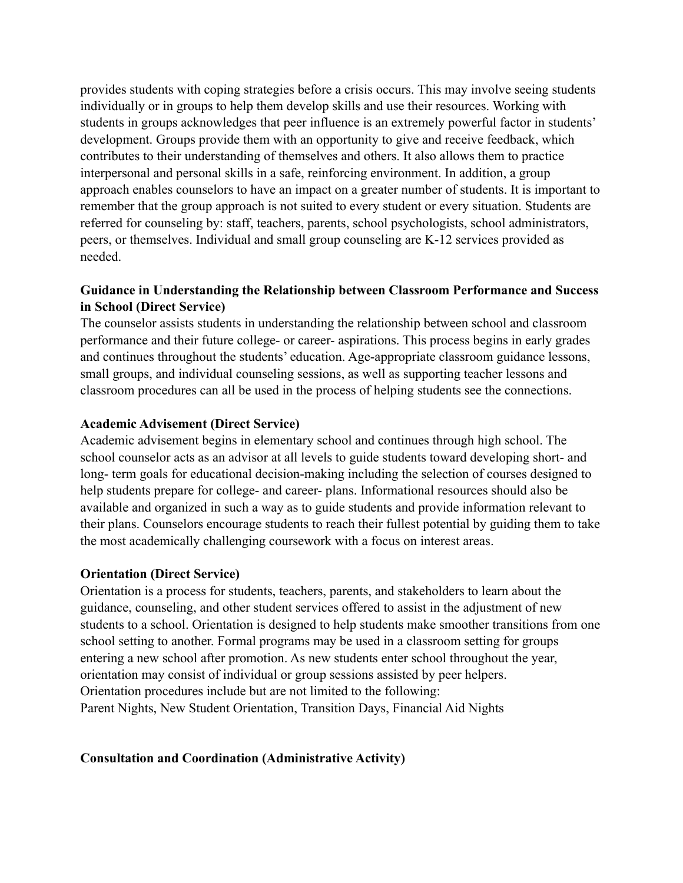provides students with coping strategies before a crisis occurs. This may involve seeing students individually or in groups to help them develop skills and use their resources. Working with students in groups acknowledges that peer influence is an extremely powerful factor in students' development. Groups provide them with an opportunity to give and receive feedback, which contributes to their understanding of themselves and others. It also allows them to practice interpersonal and personal skills in a safe, reinforcing environment. In addition, a group approach enables counselors to have an impact on a greater number of students. It is important to remember that the group approach is not suited to every student or every situation. Students are referred for counseling by: staff, teachers, parents, school psychologists, school administrators, peers, or themselves. Individual and small group counseling are K-12 services provided as needed.

### **Guidance in Understanding the Relationship between Classroom Performance and Success in School (Direct Service)**

The counselor assists students in understanding the relationship between school and classroom performance and their future college- or career- aspirations. This process begins in early grades and continues throughout the students' education. Age-appropriate classroom guidance lessons, small groups, and individual counseling sessions, as well as supporting teacher lessons and classroom procedures can all be used in the process of helping students see the connections.

#### **Academic Advisement (Direct Service)**

Academic advisement begins in elementary school and continues through high school. The school counselor acts as an advisor at all levels to guide students toward developing short- and long- term goals for educational decision-making including the selection of courses designed to help students prepare for college- and career- plans. Informational resources should also be available and organized in such a way as to guide students and provide information relevant to their plans. Counselors encourage students to reach their fullest potential by guiding them to take the most academically challenging coursework with a focus on interest areas.

#### **Orientation (Direct Service)**

Orientation is a process for students, teachers, parents, and stakeholders to learn about the guidance, counseling, and other student services offered to assist in the adjustment of new students to a school. Orientation is designed to help students make smoother transitions from one school setting to another. Formal programs may be used in a classroom setting for groups entering a new school after promotion. As new students enter school throughout the year, orientation may consist of individual or group sessions assisted by peer helpers. Orientation procedures include but are not limited to the following: Parent Nights, New Student Orientation, Transition Days, Financial Aid Nights

#### **Consultation and Coordination (Administrative Activity)**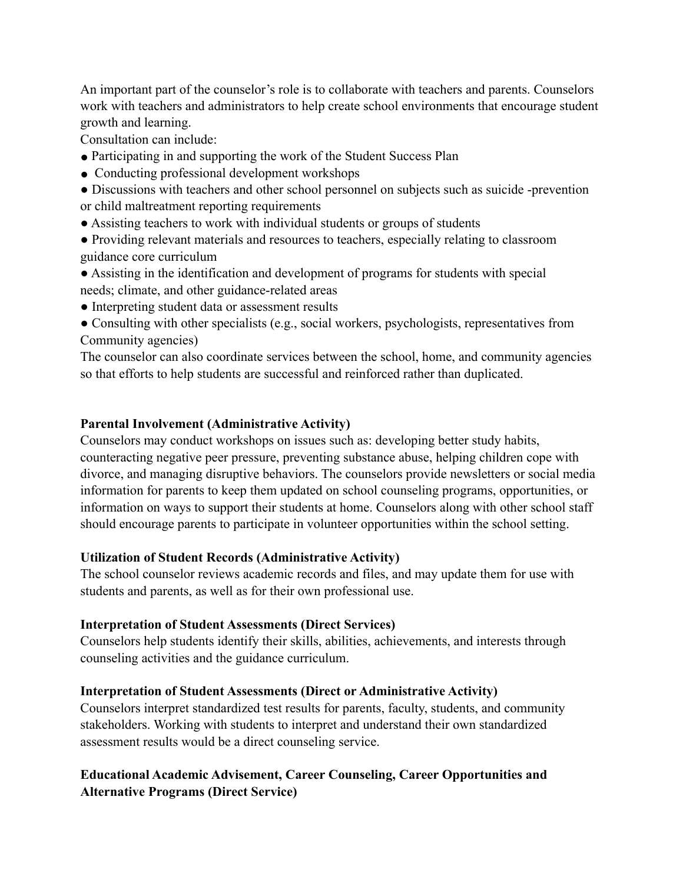An important part of the counselor's role is to collaborate with teachers and parents. Counselors work with teachers and administrators to help create school environments that encourage student growth and learning.

Consultation can include:

- Participating in and supporting the work of the Student Success Plan
- Conducting professional development workshops
- Discussions with teachers and other school personnel on subjects such as suicide -prevention or child maltreatment reporting requirements
- Assisting teachers to work with individual students or groups of students
- Providing relevant materials and resources to teachers, especially relating to classroom guidance core curriculum
- Assisting in the identification and development of programs for students with special needs; climate, and other guidance-related areas
- Interpreting student data or assessment results
- Consulting with other specialists (e.g., social workers, psychologists, representatives from Community agencies)

The counselor can also coordinate services between the school, home, and community agencies so that efforts to help students are successful and reinforced rather than duplicated.

### **Parental Involvement (Administrative Activity)**

Counselors may conduct workshops on issues such as: developing better study habits, counteracting negative peer pressure, preventing substance abuse, helping children cope with divorce, and managing disruptive behaviors. The counselors provide newsletters or social media information for parents to keep them updated on school counseling programs, opportunities, or information on ways to support their students at home. Counselors along with other school staff should encourage parents to participate in volunteer opportunities within the school setting.

### **Utilization of Student Records (Administrative Activity)**

The school counselor reviews academic records and files, and may update them for use with students and parents, as well as for their own professional use.

### **Interpretation of Student Assessments (Direct Services)**

Counselors help students identify their skills, abilities, achievements, and interests through counseling activities and the guidance curriculum.

### **Interpretation of Student Assessments (Direct or Administrative Activity)**

Counselors interpret standardized test results for parents, faculty, students, and community stakeholders. Working with students to interpret and understand their own standardized assessment results would be a direct counseling service.

# **Educational Academic Advisement, Career Counseling, Career Opportunities and Alternative Programs (Direct Service)**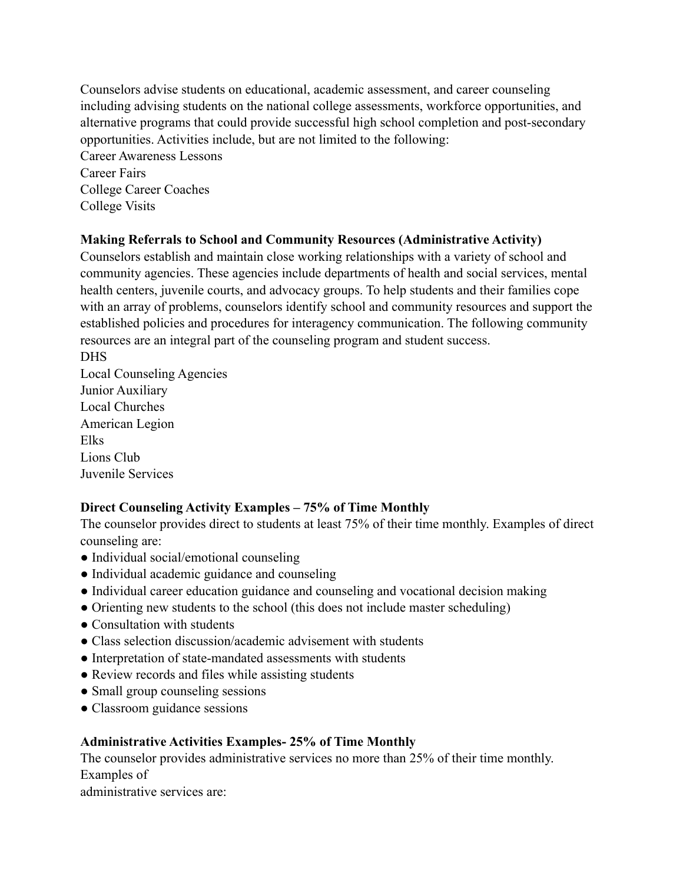Counselors advise students on educational, academic assessment, and career counseling including advising students on the national college assessments, workforce opportunities, and alternative programs that could provide successful high school completion and post-secondary opportunities. Activities include, but are not limited to the following: Career Awareness Lessons Career Fairs

College Career Coaches College Visits

### **Making Referrals to School and Community Resources (Administrative Activity)**

Counselors establish and maintain close working relationships with a variety of school and community agencies. These agencies include departments of health and social services, mental health centers, juvenile courts, and advocacy groups. To help students and their families cope with an array of problems, counselors identify school and community resources and support the established policies and procedures for interagency communication. The following community resources are an integral part of the counseling program and student success.

DHS Local Counseling Agencies Junior Auxiliary Local Churches American Legion Elks Lions Club Juvenile Services

# **Direct Counseling Activity Examples – 75% of Time Monthly**

The counselor provides direct to students at least 75% of their time monthly. Examples of direct counseling are:

- Individual social/emotional counseling
- Individual academic guidance and counseling
- Individual career education guidance and counseling and vocational decision making
- Orienting new students to the school (this does not include master scheduling)
- Consultation with students
- Class selection discussion/academic advisement with students
- Interpretation of state-mandated assessments with students
- Review records and files while assisting students
- Small group counseling sessions
- Classroom guidance sessions

# **Administrative Activities Examples- 25% of Time Monthly**

The counselor provides administrative services no more than 25% of their time monthly. Examples of administrative services are: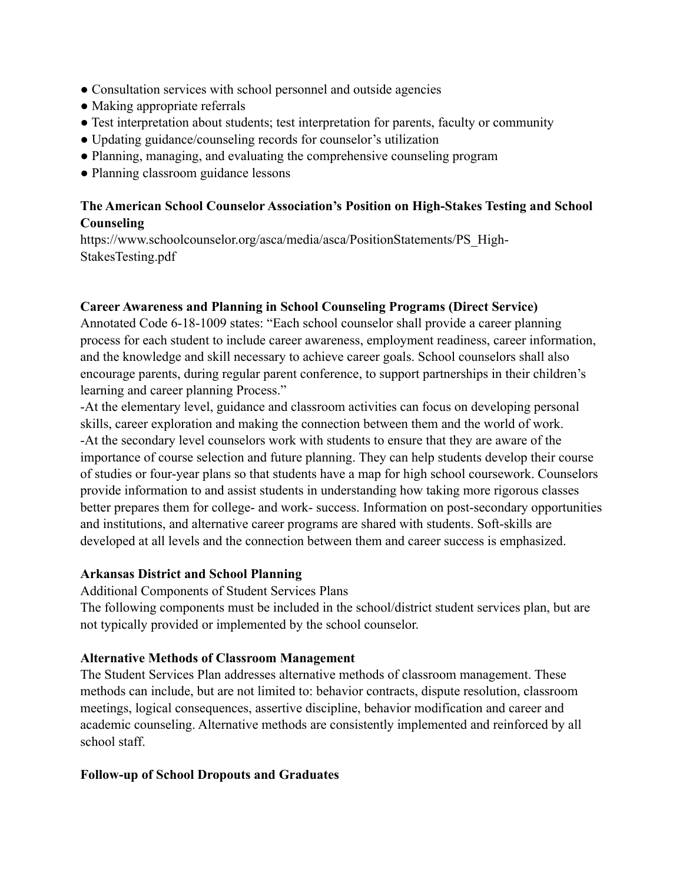- Consultation services with school personnel and outside agencies
- Making appropriate referrals
- Test interpretation about students; test interpretation for parents, faculty or community
- Updating guidance/counseling records for counselor's utilization
- Planning, managing, and evaluating the comprehensive counseling program
- Planning classroom guidance lessons

# **The American School Counselor Association's Position on High-Stakes Testing and School Counseling**

https://www.schoolcounselor.org/asca/media/asca/PositionStatements/PS\_High-StakesTesting.pdf

### **Career Awareness and Planning in School Counseling Programs (Direct Service)**

Annotated Code 6-18-1009 states: "Each school counselor shall provide a career planning process for each student to include career awareness, employment readiness, career information, and the knowledge and skill necessary to achieve career goals. School counselors shall also encourage parents, during regular parent conference, to support partnerships in their children's learning and career planning Process."

-At the elementary level, guidance and classroom activities can focus on developing personal skills, career exploration and making the connection between them and the world of work. -At the secondary level counselors work with students to ensure that they are aware of the importance of course selection and future planning. They can help students develop their course of studies or four-year plans so that students have a map for high school coursework. Counselors provide information to and assist students in understanding how taking more rigorous classes better prepares them for college- and work- success. Information on post-secondary opportunities and institutions, and alternative career programs are shared with students. Soft-skills are developed at all levels and the connection between them and career success is emphasized.

### **Arkansas District and School Planning**

Additional Components of Student Services Plans

The following components must be included in the school/district student services plan, but are not typically provided or implemented by the school counselor.

# **Alternative Methods of Classroom Management**

The Student Services Plan addresses alternative methods of classroom management. These methods can include, but are not limited to: behavior contracts, dispute resolution, classroom meetings, logical consequences, assertive discipline, behavior modification and career and academic counseling. Alternative methods are consistently implemented and reinforced by all school staff.

### **Follow-up of School Dropouts and Graduates**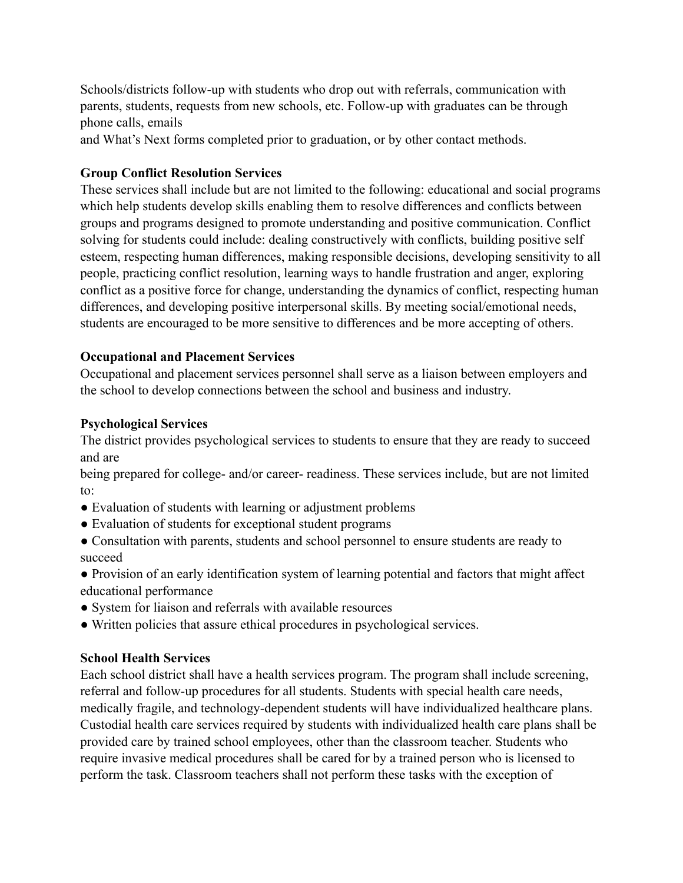Schools/districts follow-up with students who drop out with referrals, communication with parents, students, requests from new schools, etc. Follow-up with graduates can be through phone calls, emails

and What's Next forms completed prior to graduation, or by other contact methods.

### **Group Conflict Resolution Services**

These services shall include but are not limited to the following: educational and social programs which help students develop skills enabling them to resolve differences and conflicts between groups and programs designed to promote understanding and positive communication. Conflict solving for students could include: dealing constructively with conflicts, building positive self esteem, respecting human differences, making responsible decisions, developing sensitivity to all people, practicing conflict resolution, learning ways to handle frustration and anger, exploring conflict as a positive force for change, understanding the dynamics of conflict, respecting human differences, and developing positive interpersonal skills. By meeting social/emotional needs, students are encouraged to be more sensitive to differences and be more accepting of others.

### **Occupational and Placement Services**

Occupational and placement services personnel shall serve as a liaison between employers and the school to develop connections between the school and business and industry.

### **Psychological Services**

The district provides psychological services to students to ensure that they are ready to succeed and are

being prepared for college- and/or career- readiness. These services include, but are not limited to:

- Evaluation of students with learning or adjustment problems
- Evaluation of students for exceptional student programs
- Consultation with parents, students and school personnel to ensure students are ready to succeed
- Provision of an early identification system of learning potential and factors that might affect educational performance
- System for liaison and referrals with available resources
- Written policies that assure ethical procedures in psychological services.

### **School Health Services**

Each school district shall have a health services program. The program shall include screening, referral and follow-up procedures for all students. Students with special health care needs, medically fragile, and technology-dependent students will have individualized healthcare plans. Custodial health care services required by students with individualized health care plans shall be provided care by trained school employees, other than the classroom teacher. Students who require invasive medical procedures shall be cared for by a trained person who is licensed to perform the task. Classroom teachers shall not perform these tasks with the exception of